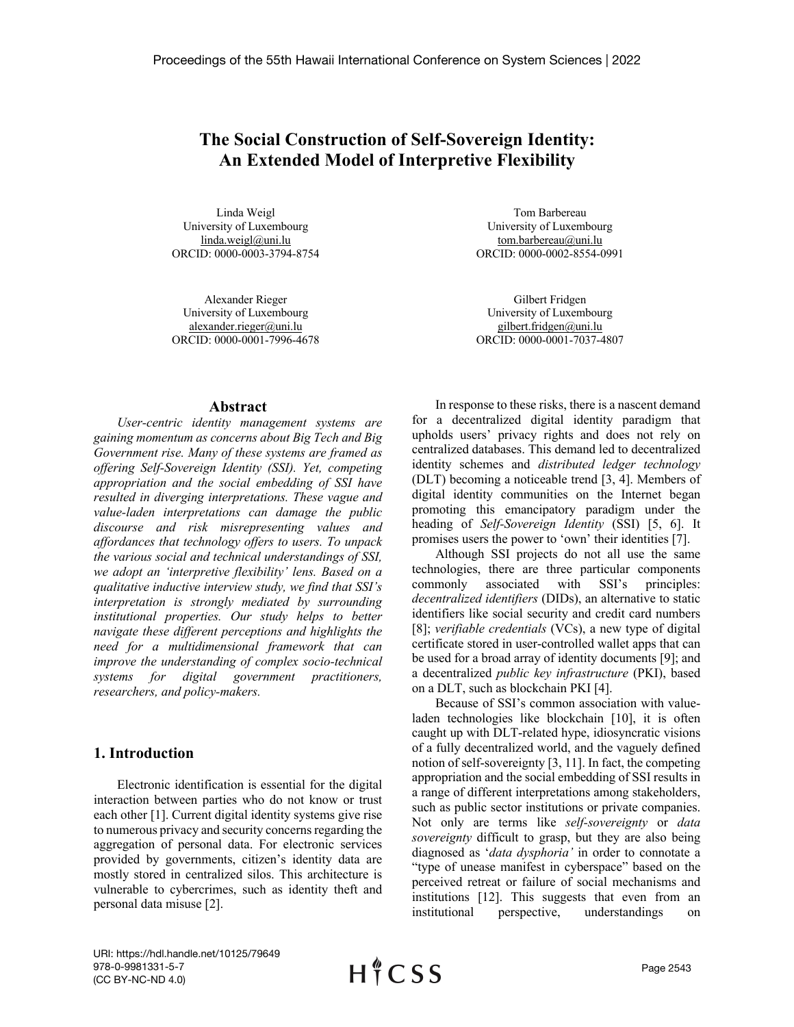# **The Social Construction of Self-Sovereign Identity: An Extended Model of Interpretive Flexibility**

Linda Weigl University of Luxembourg linda.weigl@uni.lu ORCID: 0000-0003-3794-8754

Alexander Rieger University of Luxembourg alexander.rieger@uni.lu ORCID: 0000-0001-7996-4678

Tom Barbereau University of Luxembourg tom.barbereau@uni.lu ORCID: 0000-0002-8554-0991

Gilbert Fridgen University of Luxembourg gilbert.fridgen@uni.lu ORCID: 0000-0001-7037-4807

#### **Abstract**

*User-centric identity management systems are gaining momentum as concerns about Big Tech and Big Government rise. Many of these systems are framed as offering Self-Sovereign Identity (SSI). Yet, competing appropriation and the social embedding of SSI have resulted in diverging interpretations. These vague and value-laden interpretations can damage the public discourse and risk misrepresenting values and affordances that technology offers to users. To unpack the various social and technical understandings of SSI, we adopt an 'interpretive flexibility' lens. Based on a qualitative inductive interview study, we find that SSI's interpretation is strongly mediated by surrounding institutional properties. Our study helps to better navigate these different perceptions and highlights the need for a multidimensional framework that can improve the understanding of complex socio-technical systems for digital government practitioners, researchers, and policy-makers.*

## **1. Introduction**

Electronic identification is essential for the digital interaction between parties who do not know or trust each other [1]. Current digital identity systems give rise to numerous privacy and security concerns regarding the aggregation of personal data. For electronic services provided by governments, citizen's identity data are mostly stored in centralized silos. This architecture is vulnerable to cybercrimes, such as identity theft and personal data misuse [2].

In response to these risks, there is a nascent demand for a decentralized digital identity paradigm that upholds users' privacy rights and does not rely on centralized databases. This demand led to decentralized identity schemes and *distributed ledger technology* (DLT) becoming a noticeable trend [3, 4]. Members of digital identity communities on the Internet began promoting this emancipatory paradigm under the heading of *Self-Sovereign Identity* (SSI) [5, 6]. It promises users the power to 'own' their identities [7].

Although SSI projects do not all use the same technologies, there are three particular components commonly associated with SSI's principles: *decentralized identifiers* (DIDs), an alternative to static identifiers like social security and credit card numbers [8]; *verifiable credentials* (VCs), a new type of digital certificate stored in user-controlled wallet apps that can be used for a broad array of identity documents [9]; and a decentralized *public key infrastructure* (PKI), based on a DLT, such as blockchain PKI [4].

Because of SSI's common association with valueladen technologies like blockchain [10], it is often caught up with DLT-related hype, idiosyncratic visions of a fully decentralized world, and the vaguely defined notion of self-sovereignty [3, 11]. In fact, the competing appropriation and the social embedding of SSI results in a range of different interpretations among stakeholders, such as public sector institutions or private companies. Not only are terms like *self-sovereignty* or *data sovereignty* difficult to grasp, but they are also being diagnosed as '*data dysphoria'* in order to connotate a "type of unease manifest in cyberspace" based on the perceived retreat or failure of social mechanisms and institutions [12]. This suggests that even from an institutional perspective, understandings on

URI: https://hdl.handle.net/10125/79649 978-0-9981331-5-7 (CC BY-NC-ND 4.0)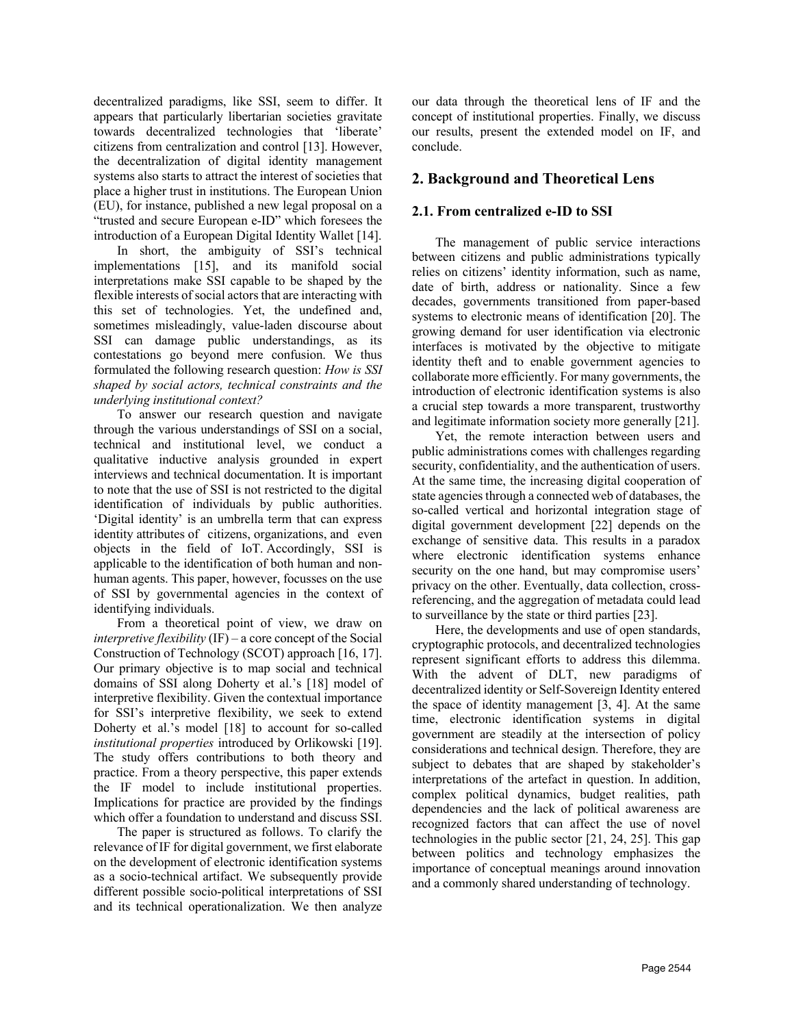decentralized paradigms, like SSI, seem to differ. It appears that particularly libertarian societies gravitate towards decentralized technologies that 'liberate' citizens from centralization and control [13]. However, the decentralization of digital identity management systems also starts to attract the interest of societies that place a higher trust in institutions. The European Union (EU), for instance, published a new legal proposal on a "trusted and secure European e-ID" which foresees the introduction of a European Digital Identity Wallet [14].

In short, the ambiguity of SSI's technical implementations [15], and its manifold social interpretations make SSI capable to be shaped by the flexible interests of social actors that are interacting with this set of technologies. Yet, the undefined and, sometimes misleadingly, value-laden discourse about SSI can damage public understandings, as its contestations go beyond mere confusion. We thus formulated the following research question: *How is SSI shaped by social actors, technical constraints and the underlying institutional context?*

To answer our research question and navigate through the various understandings of SSI on a social, technical and institutional level, we conduct a qualitative inductive analysis grounded in expert interviews and technical documentation. It is important to note that the use of SSI is not restricted to the digital identification of individuals by public authorities. 'Digital identity' is an umbrella term that can express identity attributes of citizens, organizations, and even objects in the field of IoT. Accordingly, SSI is applicable to the identification of both human and nonhuman agents. This paper, however, focusses on the use of SSI by governmental agencies in the context of identifying individuals.

From a theoretical point of view, we draw on *interpretive flexibility* (IF) – a core concept of the Social Construction of Technology (SCOT) approach [16, 17]. Our primary objective is to map social and technical domains of SSI along Doherty et al.'s [18] model of interpretive flexibility. Given the contextual importance for SSI's interpretive flexibility, we seek to extend Doherty et al.'s model [18] to account for so-called *institutional properties* introduced by Orlikowski [19]. The study offers contributions to both theory and practice. From a theory perspective, this paper extends the IF model to include institutional properties. Implications for practice are provided by the findings which offer a foundation to understand and discuss SSI.

The paper is structured as follows. To clarify the relevance of IF for digital government, we first elaborate on the development of electronic identification systems as a socio-technical artifact. We subsequently provide different possible socio-political interpretations of SSI and its technical operationalization. We then analyze

our data through the theoretical lens of IF and the concept of institutional properties. Finally, we discuss our results, present the extended model on IF, and conclude.

## **2. Background and Theoretical Lens**

## **2.1. From centralized e-ID to SSI**

The management of public service interactions between citizens and public administrations typically relies on citizens' identity information, such as name, date of birth, address or nationality. Since a few decades, governments transitioned from paper-based systems to electronic means of identification [20]. The growing demand for user identification via electronic interfaces is motivated by the objective to mitigate identity theft and to enable government agencies to collaborate more efficiently. For many governments, the introduction of electronic identification systems is also a crucial step towards a more transparent, trustworthy and legitimate information society more generally [21].

Yet, the remote interaction between users and public administrations comes with challenges regarding security, confidentiality, and the authentication of users. At the same time, the increasing digital cooperation of state agencies through a connected web of databases, the so-called vertical and horizontal integration stage of digital government development [22] depends on the exchange of sensitive data. This results in a paradox where electronic identification systems enhance security on the one hand, but may compromise users' privacy on the other. Eventually, data collection, crossreferencing, and the aggregation of metadata could lead to surveillance by the state or third parties [23].

Here, the developments and use of open standards, cryptographic protocols, and decentralized technologies represent significant efforts to address this dilemma. With the advent of DLT, new paradigms of decentralized identity or Self-Sovereign Identity entered the space of identity management [3, 4]. At the same time, electronic identification systems in digital government are steadily at the intersection of policy considerations and technical design. Therefore, they are subject to debates that are shaped by stakeholder's interpretations of the artefact in question. In addition, complex political dynamics, budget realities, path dependencies and the lack of political awareness are recognized factors that can affect the use of novel technologies in the public sector [21, 24, 25]. This gap between politics and technology emphasizes the importance of conceptual meanings around innovation and a commonly shared understanding of technology.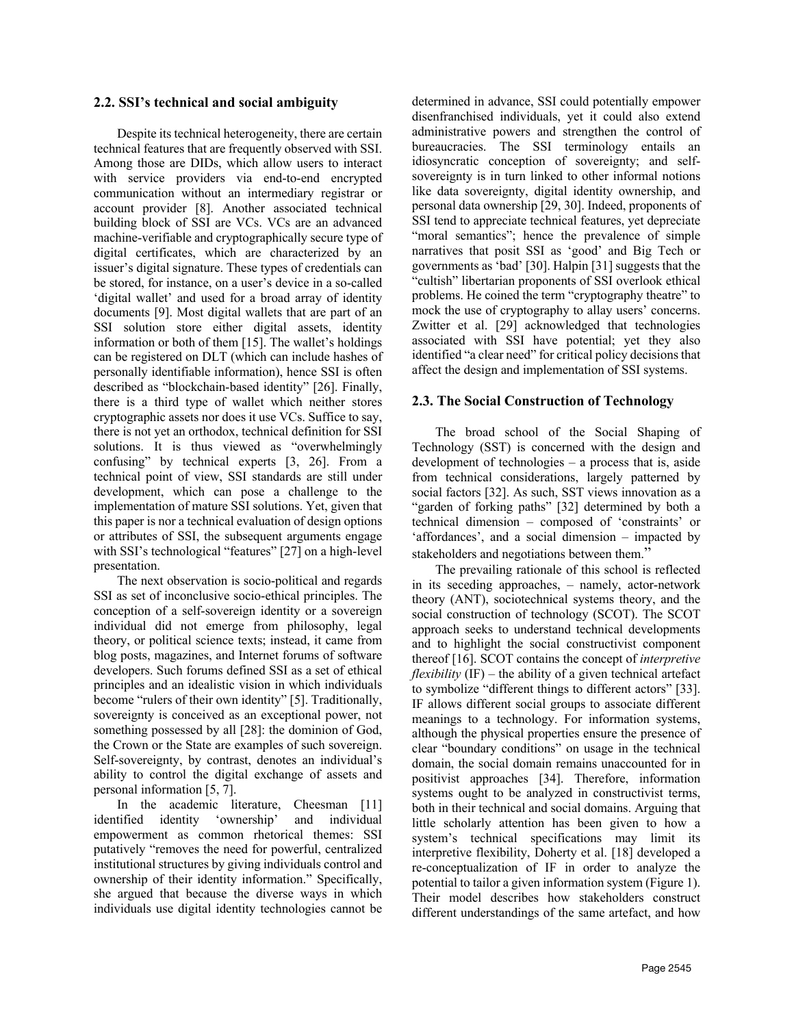#### **2.2. SSI's technical and social ambiguity**

Despite its technical heterogeneity, there are certain technical features that are frequently observed with SSI. Among those are DIDs, which allow users to interact with service providers via end-to-end encrypted communication without an intermediary registrar or account provider [8]. Another associated technical building block of SSI are VCs. VCs are an advanced machine-verifiable and cryptographically secure type of digital certificates, which are characterized by an issuer's digital signature. These types of credentials can be stored, for instance, on a user's device in a so-called 'digital wallet' and used for a broad array of identity documents [9]. Most digital wallets that are part of an SSI solution store either digital assets, identity information or both of them [15]. The wallet's holdings can be registered on DLT (which can include hashes of personally identifiable information), hence SSI is often described as "blockchain-based identity" [26]. Finally, there is a third type of wallet which neither stores cryptographic assets nor does it use VCs. Suffice to say, there is not yet an orthodox, technical definition for SSI solutions. It is thus viewed as "overwhelmingly confusing" by technical experts [3, 26]. From a technical point of view, SSI standards are still under development, which can pose a challenge to the implementation of mature SSI solutions. Yet, given that this paper is nor a technical evaluation of design options or attributes of SSI, the subsequent arguments engage with SSI's technological "features" [27] on a high-level presentation.

The next observation is socio-political and regards SSI as set of inconclusive socio-ethical principles. The conception of a self-sovereign identity or a sovereign individual did not emerge from philosophy, legal theory, or political science texts; instead, it came from blog posts, magazines, and Internet forums of software developers. Such forums defined SSI as a set of ethical principles and an idealistic vision in which individuals become "rulers of their own identity" [5]. Traditionally, sovereignty is conceived as an exceptional power, not something possessed by all [28]: the dominion of God, the Crown or the State are examples of such sovereign. Self-sovereignty, by contrast, denotes an individual's ability to control the digital exchange of assets and personal information [5, 7].

In the academic literature, Cheesman [11] identified identity 'ownership' and individual empowerment as common rhetorical themes: SSI putatively "removes the need for powerful, centralized institutional structures by giving individuals control and ownership of their identity information." Specifically, she argued that because the diverse ways in which individuals use digital identity technologies cannot be

determined in advance, SSI could potentially empower disenfranchised individuals, yet it could also extend administrative powers and strengthen the control of bureaucracies. The SSI terminology entails an idiosyncratic conception of sovereignty; and selfsovereignty is in turn linked to other informal notions like data sovereignty, digital identity ownership, and personal data ownership [29, 30]. Indeed, proponents of SSI tend to appreciate technical features, yet depreciate "moral semantics"; hence the prevalence of simple narratives that posit SSI as 'good' and Big Tech or governments as 'bad' [30]. Halpin [31] suggests that the "cultish" libertarian proponents of SSI overlook ethical problems. He coined the term "cryptography theatre" to mock the use of cryptography to allay users' concerns. Zwitter et al. [29] acknowledged that technologies associated with SSI have potential; yet they also identified "a clear need" for critical policy decisions that affect the design and implementation of SSI systems.

#### **2.3. The Social Construction of Technology**

The broad school of the Social Shaping of Technology (SST) is concerned with the design and development of technologies – a process that is, aside from technical considerations, largely patterned by social factors [32]. As such, SST views innovation as a "garden of forking paths" [32] determined by both a technical dimension – composed of 'constraints' or 'affordances', and a social dimension – impacted by stakeholders and negotiations between them."

The prevailing rationale of this school is reflected in its seceding approaches, – namely, actor-network theory (ANT), sociotechnical systems theory, and the social construction of technology (SCOT). The SCOT approach seeks to understand technical developments and to highlight the social constructivist component thereof [16]. SCOT contains the concept of *interpretive flexibility* (IF) – the ability of a given technical artefact to symbolize "different things to different actors" [33]. IF allows different social groups to associate different meanings to a technology. For information systems, although the physical properties ensure the presence of clear "boundary conditions" on usage in the technical domain, the social domain remains unaccounted for in positivist approaches [34]. Therefore, information systems ought to be analyzed in constructivist terms, both in their technical and social domains. Arguing that little scholarly attention has been given to how a system's technical specifications may limit its interpretive flexibility, Doherty et al. [18] developed a re-conceptualization of IF in order to analyze the potential to tailor a given information system (Figure 1). Their model describes how stakeholders construct different understandings of the same artefact, and how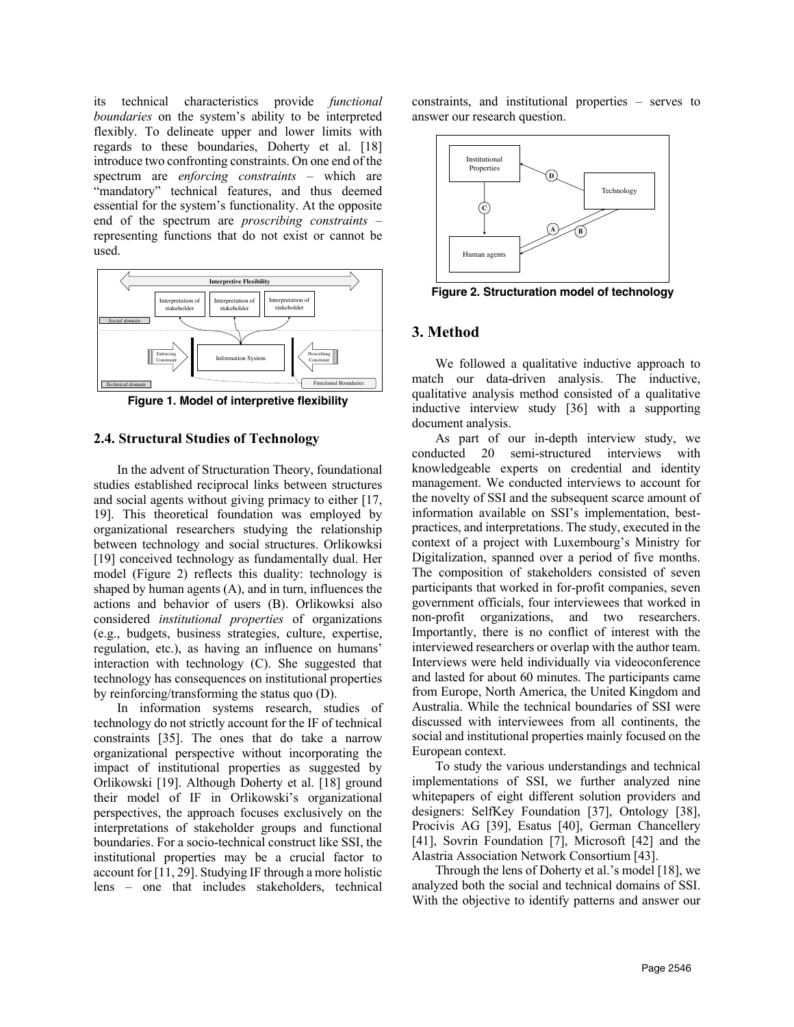its technical characteristics provide *functional boundaries* on the system's ability to be interpreted flexibly. To delineate upper and lower limits with regards to these boundaries, Doherty et al. [18] introduce two confronting constraints. On one end of the spectrum are *enforcing constraints* – which are "mandatory" technical features, and thus deemed essential for the system's functionality. At the opposite end of the spectrum are *proscribing constraints* – representing functions that do not exist or cannot be used.



**Figure 1. Model of interpretive flexibility**

#### **2.4. Structural Studies of Technology**

In the advent of Structuration Theory, foundational studies established reciprocal links between structures and social agents without giving primacy to either [17, 19]. This theoretical foundation was employed by organizational researchers studying the relationship between technology and social structures. Orlikowksi [19] conceived technology as fundamentally dual. Her model (Figure 2) reflects this duality: technology is shaped by human agents (A), and in turn, influences the actions and behavior of users (B). Orlikowksi also considered *institutional properties* of organizations (e.g., budgets, business strategies, culture, expertise, regulation, etc.), as having an influence on humans' interaction with technology (C). She suggested that technology has consequences on institutional properties by reinforcing/transforming the status quo (D).

In information systems research, studies of technology do not strictly account for the IF of technical constraints [35]. The ones that do take a narrow organizational perspective without incorporating the impact of institutional properties as suggested by Orlikowski [19]. Although Doherty et al. [18] ground their model of IF in Orlikowski's organizational perspectives, the approach focuses exclusively on the interpretations of stakeholder groups and functional boundaries. For a socio-technical construct like SSI, the institutional properties may be a crucial factor to account for [11, 29]. Studying IF through a more holistic lens – one that includes stakeholders, technical

constraints, and institutional properties – serves to answer our research question.



**Figure 2. Structuration model of technology** 

#### **3. Method**

We followed a qualitative inductive approach to match our data-driven analysis. The inductive, qualitative analysis method consisted of a qualitative inductive interview study [36] with a supporting document analysis.

As part of our in-depth interview study, we conducted 20 semi-structured interviews with knowledgeable experts on credential and identity management. We conducted interviews to account for the novelty of SSI and the subsequent scarce amount of information available on SSI's implementation, bestpractices, and interpretations. The study, executed in the context of a project with Luxembourg's Ministry for Digitalization, spanned over a period of five months. The composition of stakeholders consisted of seven participants that worked in for-profit companies, seven government officials, four interviewees that worked in non-profit organizations, and two researchers. Importantly, there is no conflict of interest with the interviewed researchers or overlap with the author team. Interviews were held individually via videoconference and lasted for about 60 minutes. The participants came from Europe, North America, the United Kingdom and Australia. While the technical boundaries of SSI were discussed with interviewees from all continents, the social and institutional properties mainly focused on the European context.

To study the various understandings and technical implementations of SSI, we further analyzed nine whitepapers of eight different solution providers and designers: SelfKey Foundation [37], Ontology [38], Procivis AG [39], Esatus [40], German Chancellery [41], Sovrin Foundation [7], Microsoft [42] and the Alastria Association Network Consortium [43].

Through the lens of Doherty et al.'s model [18], we analyzed both the social and technical domains of SSI. With the objective to identify patterns and answer our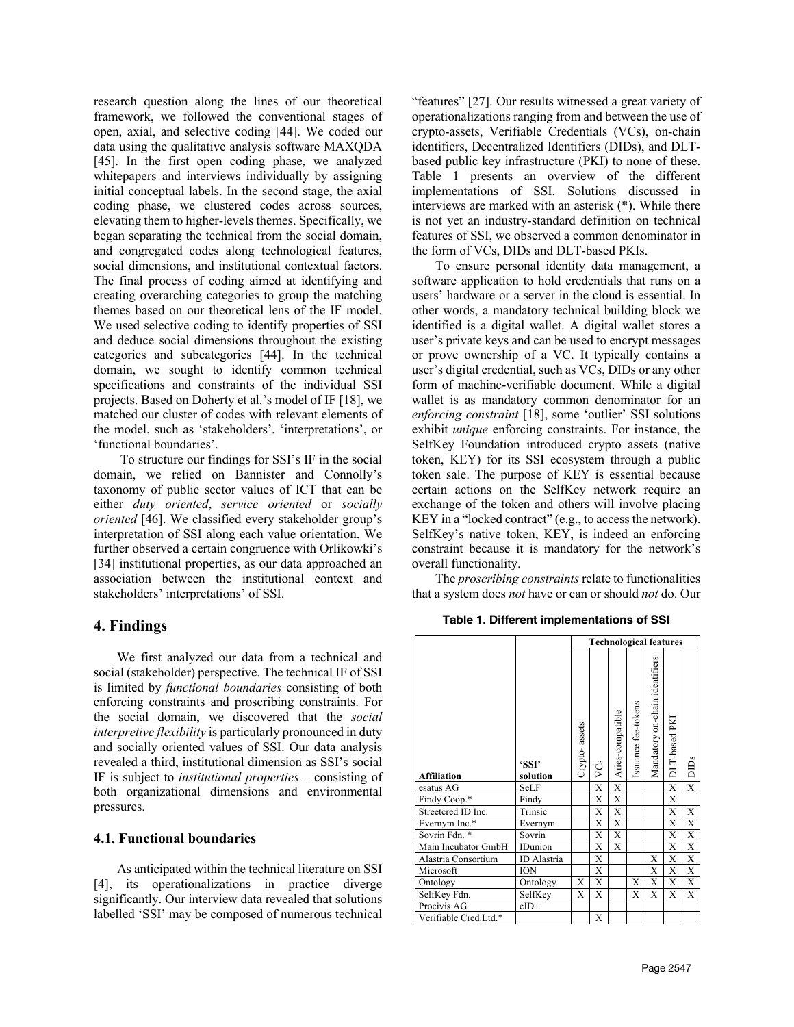research question along the lines of our theoretical framework, we followed the conventional stages of open, axial, and selective coding [44]. We coded our data using the qualitative analysis software MAXQDA [45]. In the first open coding phase, we analyzed whitepapers and interviews individually by assigning initial conceptual labels. In the second stage, the axial coding phase, we clustered codes across sources, elevating them to higher-levels themes. Specifically, we began separating the technical from the social domain, and congregated codes along technological features, social dimensions, and institutional contextual factors. The final process of coding aimed at identifying and creating overarching categories to group the matching themes based on our theoretical lens of the IF model. We used selective coding to identify properties of SSI and deduce social dimensions throughout the existing categories and subcategories [44]. In the technical domain, we sought to identify common technical specifications and constraints of the individual SSI projects. Based on Doherty et al.'s model of IF [18], we matched our cluster of codes with relevant elements of the model, such as 'stakeholders', 'interpretations', or 'functional boundaries'.

To structure our findings for SSI's IF in the social domain, we relied on Bannister and Connolly's taxonomy of public sector values of ICT that can be either *duty oriented*, *service oriented* or *socially oriented* [46]. We classified every stakeholder group's interpretation of SSI along each value orientation. We further observed a certain congruence with Orlikowki's [34] institutional properties, as our data approached an association between the institutional context and stakeholders' interpretations' of SSI.

## **4. Findings**

We first analyzed our data from a technical and social (stakeholder) perspective. The technical IF of SSI is limited by *functional boundaries* consisting of both enforcing constraints and proscribing constraints. For the social domain, we discovered that the *social interpretive flexibility* is particularly pronounced in duty and socially oriented values of SSI. Our data analysis revealed a third, institutional dimension as SSI's social IF is subject to *institutional properties* – consisting of both organizational dimensions and environmental pressures.

#### **4.1. Functional boundaries**

As anticipated within the technical literature on SSI [4], its operationalizations in practice diverge significantly. Our interview data revealed that solutions labelled 'SSI' may be composed of numerous technical

"features" [27]. Our results witnessed a great variety of operationalizations ranging from and between the use of crypto-assets, Verifiable Credentials (VCs), on-chain identifiers, Decentralized Identifiers (DIDs), and DLTbased public key infrastructure (PKI) to none of these. Table 1 presents an overview of the different implementations of SSI. Solutions discussed in interviews are marked with an asterisk (\*). While there is not yet an industry-standard definition on technical features of SSI, we observed a common denominator in the form of VCs, DIDs and DLT-based PKIs.

To ensure personal identity data management, a software application to hold credentials that runs on a users' hardware or a server in the cloud is essential. In other words, a mandatory technical building block we identified is a digital wallet. A digital wallet stores a user's private keys and can be used to encrypt messages or prove ownership of a VC. It typically contains a user's digital credential, such as VCs, DIDs or any other form of machine-verifiable document. While a digital wallet is as mandatory common denominator for an *enforcing constraint* [18], some 'outlier' SSI solutions exhibit *unique* enforcing constraints. For instance, the SelfKey Foundation introduced crypto assets (native token, KEY) for its SSI ecosystem through a public token sale. The purpose of KEY is essential because certain actions on the SelfKey network require an exchange of the token and others will involve placing KEY in a "locked contract" (e.g., to access the network). SelfKey's native token, KEY, is indeed an enforcing constraint because it is mandatory for the network's overall functionality.

The *proscribing constraints* relate to functionalities that a system does *not* have or can or should *not* do. Our

#### **Table 1. Different implementations of SSI**

|                       |                   | <b>Technological features</b> |     |                  |                     |                                |              |                         |
|-----------------------|-------------------|-------------------------------|-----|------------------|---------------------|--------------------------------|--------------|-------------------------|
| <b>Affiliation</b>    | 'SSI'<br>solution | Crypto-assets                 | VCs | Aries-compatible | Issuance fee-tokens | Mandatory on-chain identifiers | DLT-based PK | DIDs                    |
| esatus AG             | SeLF              |                               | X   | X                |                     |                                | X            | $\overline{\mathrm{X}}$ |
| Findy Coop.*          | Findy             |                               | X   | X                |                     |                                | X            |                         |
| Streetcred ID Inc.    | Trinsic           |                               | X   | X                |                     |                                | X            | X                       |
| Evernym Inc.*         | Evernym           |                               | X   | X                |                     |                                | X            | X                       |
| Sovrin Fdn. *         | Sovrin            |                               | X   | X                |                     |                                | X            | X                       |
| Main Incubator GmbH   | <b>IDunion</b>    |                               | X   | X                |                     |                                | X            | X                       |
| Alastria Consortium   | ID Alastria       |                               | X   |                  |                     | X                              | X            | X                       |
| Microsoft             | ION               |                               | X   |                  |                     | X                              | X            | X                       |
| Ontology              | Ontology          | X                             | Х   |                  | X                   | X                              | X            | X                       |
| SelfKey Fdn.          | SelfKey           | X                             | X   |                  | X                   | X                              | X            | X                       |
| Procivis AG           | $eID+$            |                               |     |                  |                     |                                |              |                         |
| Verifiable Cred.Ltd.* |                   |                               | X   |                  |                     |                                |              |                         |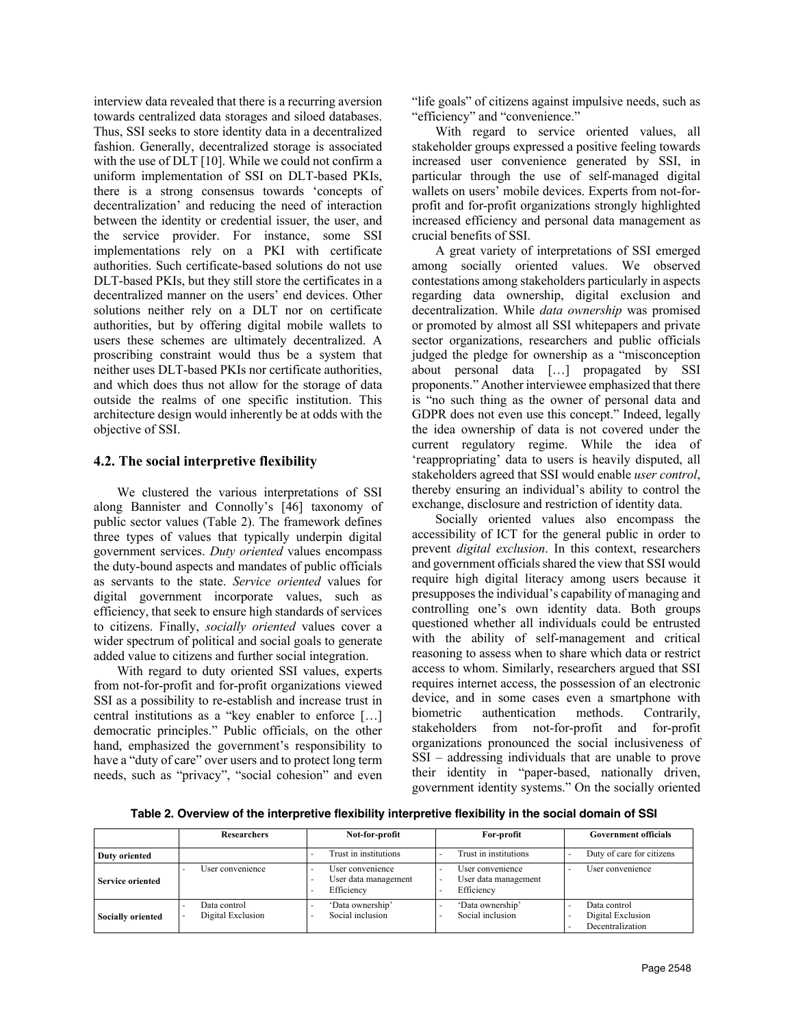interview data revealed that there is a recurring aversion towards centralized data storages and siloed databases. Thus, SSI seeks to store identity data in a decentralized fashion. Generally, decentralized storage is associated with the use of DLT [10]. While we could not confirm a uniform implementation of SSI on DLT-based PKIs, there is a strong consensus towards 'concepts of decentralization' and reducing the need of interaction between the identity or credential issuer, the user, and the service provider. For instance, some SSI implementations rely on a PKI with certificate authorities. Such certificate-based solutions do not use DLT-based PKIs, but they still store the certificates in a decentralized manner on the users' end devices. Other solutions neither rely on a DLT nor on certificate authorities, but by offering digital mobile wallets to users these schemes are ultimately decentralized. A proscribing constraint would thus be a system that neither uses DLT-based PKIs nor certificate authorities, and which does thus not allow for the storage of data outside the realms of one specific institution. This architecture design would inherently be at odds with the objective of SSI.

## **4.2. The social interpretive flexibility**

We clustered the various interpretations of SSI along Bannister and Connolly's [46] taxonomy of public sector values (Table 2). The framework defines three types of values that typically underpin digital government services. *Duty oriented* values encompass the duty-bound aspects and mandates of public officials as servants to the state. *Service oriented* values for digital government incorporate values, such as efficiency, that seek to ensure high standards of services to citizens. Finally, *socially oriented* values cover a wider spectrum of political and social goals to generate added value to citizens and further social integration.

With regard to duty oriented SSI values, experts from not-for-profit and for-profit organizations viewed SSI as a possibility to re-establish and increase trust in central institutions as a "key enabler to enforce […] democratic principles." Public officials, on the other hand, emphasized the government's responsibility to have a "duty of care" over users and to protect long term needs, such as "privacy", "social cohesion" and even "life goals" of citizens against impulsive needs, such as "efficiency" and "convenience."

With regard to service oriented values, all stakeholder groups expressed a positive feeling towards increased user convenience generated by SSI, in particular through the use of self-managed digital wallets on users' mobile devices. Experts from not-forprofit and for-profit organizations strongly highlighted increased efficiency and personal data management as crucial benefits of SSI.

A great variety of interpretations of SSI emerged among socially oriented values. We observed contestations among stakeholders particularly in aspects regarding data ownership, digital exclusion and decentralization. While *data ownership* was promised or promoted by almost all SSI whitepapers and private sector organizations, researchers and public officials judged the pledge for ownership as a "misconception about personal data […] propagated by SSI proponents." Another interviewee emphasized that there is "no such thing as the owner of personal data and GDPR does not even use this concept." Indeed, legally the idea ownership of data is not covered under the current regulatory regime. While the idea of 'reappropriating' data to users is heavily disputed, all stakeholders agreed that SSI would enable *user control*, thereby ensuring an individual's ability to control the exchange, disclosure and restriction of identity data.

Socially oriented values also encompass the accessibility of ICT for the general public in order to prevent *digital exclusion*. In this context, researchers and government officials shared the view that SSI would require high digital literacy among users because it presupposes the individual's capability of managing and controlling one's own identity data. Both groups questioned whether all individuals could be entrusted with the ability of self-management and critical reasoning to assess when to share which data or restrict access to whom. Similarly, researchers argued that SSI requires internet access, the possession of an electronic device, and in some cases even a smartphone with biometric authentication methods. Contrarily, stakeholders from not-for-profit and for-profit organizations pronounced the social inclusiveness of SSI – addressing individuals that are unable to prove their identity in "paper-based, nationally driven, government identity systems." On the socially oriented

**Table 2. Overview of the interpretive flexibility interpretive flexibility in the social domain of SSI** 

|                          | <b>Researchers</b>                | Not-for-profit                                         | For-profit                                             | <b>Government officials</b>                           |
|--------------------------|-----------------------------------|--------------------------------------------------------|--------------------------------------------------------|-------------------------------------------------------|
| <b>Duty oriented</b>     |                                   | Trust in institutions                                  | Trust in institutions                                  | Duty of care for citizens                             |
| <b>Service oriented</b>  | User convenience                  | User convenience<br>User data management<br>Efficiency | User convenience<br>User data management<br>Efficiency | User convenience                                      |
| <b>Socially oriented</b> | Data control<br>Digital Exclusion | 'Data ownership'<br>Social inclusion                   | 'Data ownership'<br>Social inclusion                   | Data control<br>Digital Exclusion<br>Decentralization |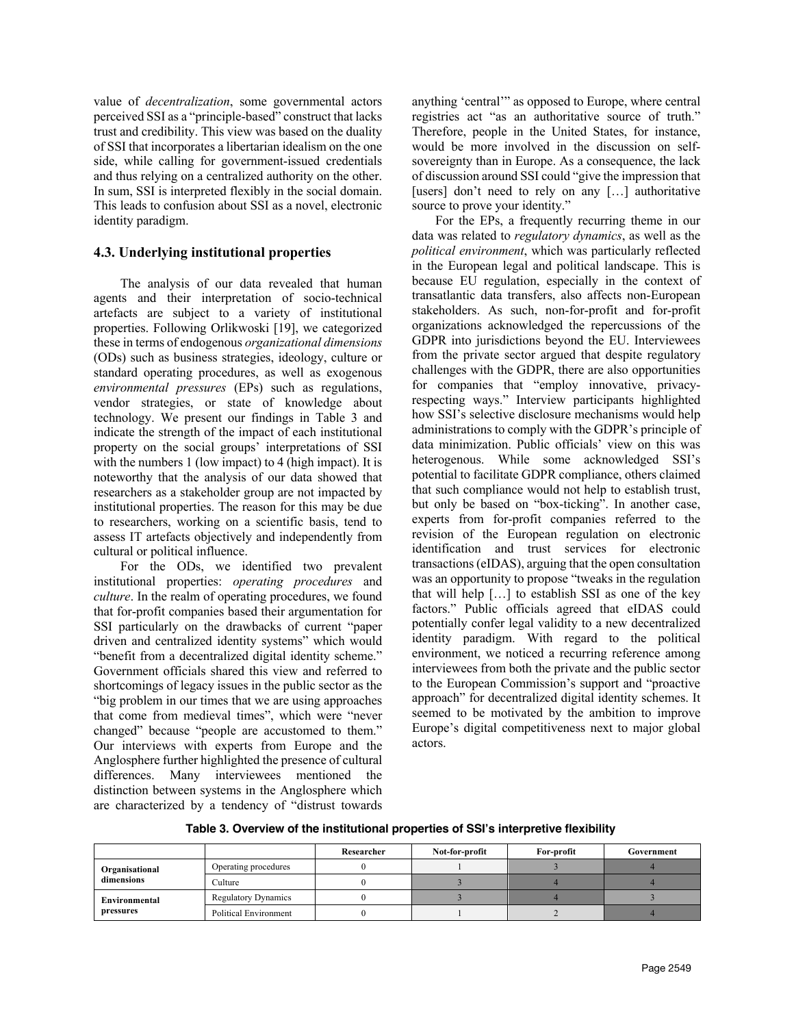value of *decentralization*, some governmental actors perceived SSI as a "principle-based" construct that lacks trust and credibility. This view was based on the duality of SSI that incorporates a libertarian idealism on the one side, while calling for government-issued credentials and thus relying on a centralized authority on the other. In sum, SSI is interpreted flexibly in the social domain. This leads to confusion about SSI as a novel, electronic identity paradigm.

#### **4.3. Underlying institutional properties**

The analysis of our data revealed that human agents and their interpretation of socio-technical artefacts are subject to a variety of institutional properties. Following Orlikwoski [19], we categorized these in terms of endogenous *organizational dimensions* (ODs) such as business strategies, ideology, culture or standard operating procedures, as well as exogenous *environmental pressures* (EPs) such as regulations, vendor strategies, or state of knowledge about technology. We present our findings in Table 3 and indicate the strength of the impact of each institutional property on the social groups' interpretations of SSI with the numbers 1 (low impact) to 4 (high impact). It is noteworthy that the analysis of our data showed that researchers as a stakeholder group are not impacted by institutional properties. The reason for this may be due to researchers, working on a scientific basis, tend to assess IT artefacts objectively and independently from cultural or political influence.

For the ODs, we identified two prevalent institutional properties: *operating procedures* and *culture*. In the realm of operating procedures, we found that for-profit companies based their argumentation for SSI particularly on the drawbacks of current "paper driven and centralized identity systems" which would "benefit from a decentralized digital identity scheme." Government officials shared this view and referred to shortcomings of legacy issues in the public sector as the "big problem in our times that we are using approaches that come from medieval times", which were "never changed" because "people are accustomed to them." Our interviews with experts from Europe and the Anglosphere further highlighted the presence of cultural differences. Many interviewees mentioned the distinction between systems in the Anglosphere which are characterized by a tendency of "distrust towards anything 'central'" as opposed to Europe, where central registries act "as an authoritative source of truth." Therefore, people in the United States, for instance, would be more involved in the discussion on selfsovereignty than in Europe. As a consequence, the lack of discussion around SSI could "give the impression that [users] don't need to rely on any [...] authoritative source to prove your identity."

For the EPs, a frequently recurring theme in our data was related to *regulatory dynamics*, as well as the *political environment*, which was particularly reflected in the European legal and political landscape. This is because EU regulation, especially in the context of transatlantic data transfers, also affects non-European stakeholders. As such, non-for-profit and for-profit organizations acknowledged the repercussions of the GDPR into jurisdictions beyond the EU. Interviewees from the private sector argued that despite regulatory challenges with the GDPR, there are also opportunities for companies that "employ innovative, privacyrespecting ways." Interview participants highlighted how SSI's selective disclosure mechanisms would help administrations to comply with the GDPR's principle of data minimization. Public officials' view on this was heterogenous. While some acknowledged SSI's potential to facilitate GDPR compliance, others claimed that such compliance would not help to establish trust, but only be based on "box-ticking". In another case, experts from for-profit companies referred to the revision of the European regulation on electronic identification and trust services for electronic transactions(eIDAS), arguing that the open consultation was an opportunity to propose "tweaks in the regulation that will help […] to establish SSI as one of the key factors." Public officials agreed that eIDAS could potentially confer legal validity to a new decentralized identity paradigm. With regard to the political environment, we noticed a recurring reference among interviewees from both the private and the public sector to the European Commission's support and "proactive approach" for decentralized digital identity schemes. It seemed to be motivated by the ambition to improve Europe's digital competitiveness next to major global actors.

**Table 3. Overview of the institutional properties of SSI's interpretive flexibility**

|                              |                              | Researcher | Not-for-profit | For-profit | Government |
|------------------------------|------------------------------|------------|----------------|------------|------------|
| Organisational<br>dimensions | Operating procedures         |            |                |            |            |
|                              | Culture                      |            |                |            |            |
| Environmental<br>pressures   | <b>Regulatory Dynamics</b>   |            |                |            |            |
|                              | <b>Political Environment</b> |            |                |            |            |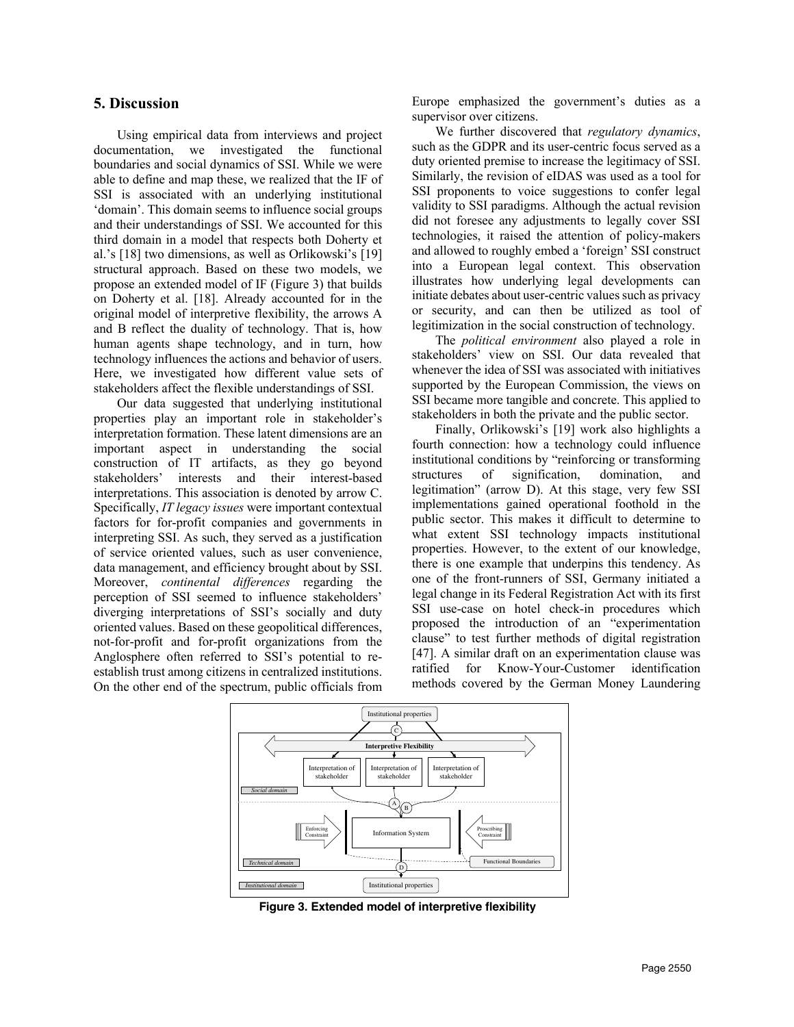## **5. Discussion**

Using empirical data from interviews and project documentation, we investigated the functional boundaries and social dynamics of SSI. While we were able to define and map these, we realized that the IF of SSI is associated with an underlying institutional 'domain'. This domain seems to influence social groups and their understandings of SSI. We accounted for this third domain in a model that respects both Doherty et al.'s [18] two dimensions, as well as Orlikowski's [19] structural approach. Based on these two models, we propose an extended model of IF (Figure 3) that builds on Doherty et al. [18]. Already accounted for in the original model of interpretive flexibility, the arrows A and B reflect the duality of technology. That is, how human agents shape technology, and in turn, how technology influences the actions and behavior of users. Here, we investigated how different value sets of stakeholders affect the flexible understandings of SSI.

Our data suggested that underlying institutional properties play an important role in stakeholder's interpretation formation. These latent dimensions are an important aspect in understanding the social construction of IT artifacts, as they go beyond stakeholders' interests and their interest-based interpretations. This association is denoted by arrow C. Specifically, *IT legacy issues* were important contextual factors for for-profit companies and governments in interpreting SSI. As such, they served as a justification of service oriented values, such as user convenience, data management, and efficiency brought about by SSI. Moreover, *continental differences* regarding the perception of SSI seemed to influence stakeholders' diverging interpretations of SSI's socially and duty oriented values. Based on these geopolitical differences, not-for-profit and for-profit organizations from the Anglosphere often referred to SSI's potential to reestablish trust among citizens in centralized institutions. On the other end of the spectrum, public officials from

Europe emphasized the government's duties as a supervisor over citizens.

We further discovered that *regulatory dynamics*, such as the GDPR and its user-centric focus served as a duty oriented premise to increase the legitimacy of SSI. Similarly, the revision of eIDAS was used as a tool for SSI proponents to voice suggestions to confer legal validity to SSI paradigms. Although the actual revision did not foresee any adjustments to legally cover SSI technologies, it raised the attention of policy-makers and allowed to roughly embed a 'foreign' SSI construct into a European legal context. This observation illustrates how underlying legal developments can initiate debates about user-centric values such as privacy or security, and can then be utilized as tool of legitimization in the social construction of technology.

The *political environment* also played a role in stakeholders' view on SSI. Our data revealed that whenever the idea of SSI was associated with initiatives supported by the European Commission, the views on SSI became more tangible and concrete. This applied to stakeholders in both the private and the public sector.

Finally, Orlikowski's [19] work also highlights a fourth connection: how a technology could influence institutional conditions by "reinforcing or transforming structures of signification, domination, and legitimation" (arrow D). At this stage, very few SSI implementations gained operational foothold in the public sector. This makes it difficult to determine to what extent SSI technology impacts institutional properties. However, to the extent of our knowledge, there is one example that underpins this tendency. As one of the front-runners of SSI, Germany initiated a legal change in its Federal Registration Act with its first SSI use-case on hotel check-in procedures which proposed the introduction of an "experimentation clause" to test further methods of digital registration [47]. A similar draft on an experimentation clause was ratified for Know-Your-Customer identification methods covered by the German Money Laundering



**Figure 3. Extended model of interpretive flexibility**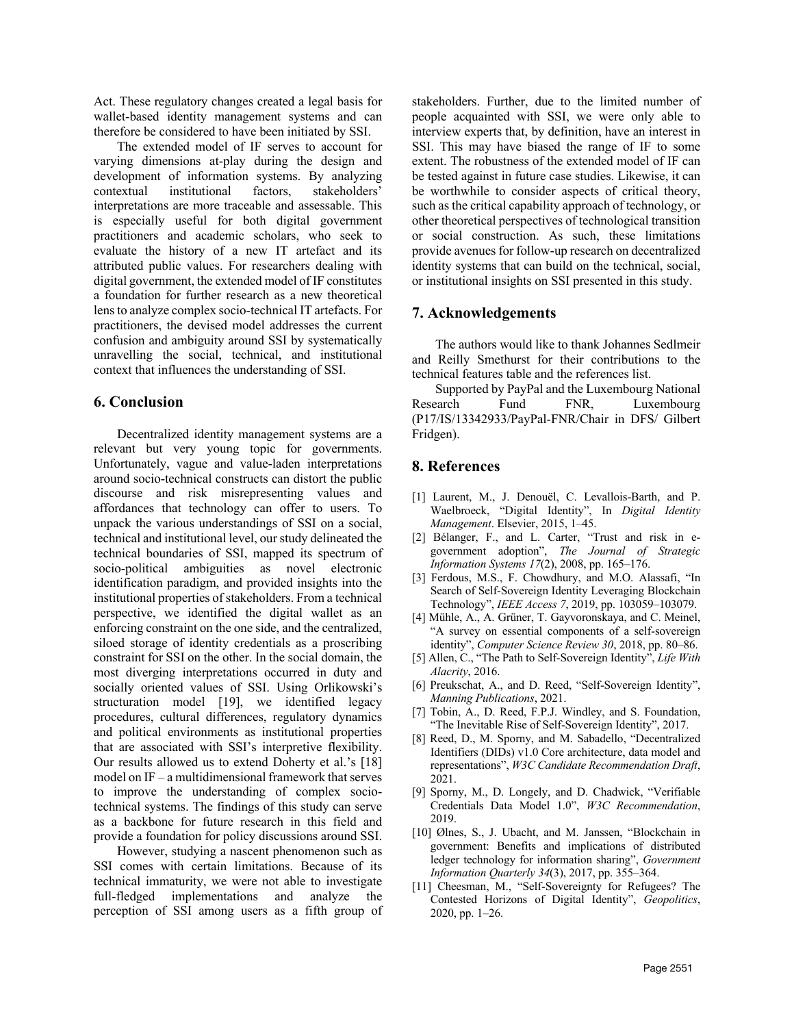Act. These regulatory changes created a legal basis for wallet-based identity management systems and can therefore be considered to have been initiated by SSI.

The extended model of IF serves to account for varying dimensions at-play during the design and development of information systems. By analyzing contextual institutional factors, stakeholders' interpretations are more traceable and assessable. This is especially useful for both digital government practitioners and academic scholars, who seek to evaluate the history of a new IT artefact and its attributed public values. For researchers dealing with digital government, the extended model of IF constitutes a foundation for further research as a new theoretical lens to analyze complex socio-technical IT artefacts. For practitioners, the devised model addresses the current confusion and ambiguity around SSI by systematically unravelling the social, technical, and institutional context that influences the understanding of SSI.

#### **6. Conclusion**

Decentralized identity management systems are a relevant but very young topic for governments. Unfortunately, vague and value-laden interpretations around socio-technical constructs can distort the public discourse and risk misrepresenting values and affordances that technology can offer to users. To unpack the various understandings of SSI on a social, technical and institutional level, our study delineated the technical boundaries of SSI, mapped its spectrum of socio-political ambiguities as novel electronic identification paradigm, and provided insights into the institutional properties of stakeholders. From a technical perspective, we identified the digital wallet as an enforcing constraint on the one side, and the centralized, siloed storage of identity credentials as a proscribing constraint for SSI on the other. In the social domain, the most diverging interpretations occurred in duty and socially oriented values of SSI. Using Orlikowski's structuration model [19], we identified legacy procedures, cultural differences, regulatory dynamics and political environments as institutional properties that are associated with SSI's interpretive flexibility. Our results allowed us to extend Doherty et al.'s [18] model on IF – a multidimensional framework that serves to improve the understanding of complex sociotechnical systems. The findings of this study can serve as a backbone for future research in this field and provide a foundation for policy discussions around SSI.

However, studying a nascent phenomenon such as SSI comes with certain limitations. Because of its technical immaturity, we were not able to investigate full-fledged implementations and analyze the perception of SSI among users as a fifth group of

stakeholders. Further, due to the limited number of people acquainted with SSI, we were only able to interview experts that, by definition, have an interest in SSI. This may have biased the range of IF to some extent. The robustness of the extended model of IF can be tested against in future case studies. Likewise, it can be worthwhile to consider aspects of critical theory, such as the critical capability approach of technology, or other theoretical perspectives of technological transition or social construction. As such, these limitations provide avenues for follow-up research on decentralized identity systems that can build on the technical, social, or institutional insights on SSI presented in this study.

## **7. Acknowledgements**

The authors would like to thank Johannes Sedlmeir and Reilly Smethurst for their contributions to the technical features table and the references list.

Supported by PayPal and the Luxembourg National Research Fund FNR, Luxembourg (P17/IS/13342933/PayPal-FNR/Chair in DFS/ Gilbert Fridgen).

## **8. References**

- [1] Laurent, M., J. Denouël, C. Levallois-Barth, and P. Waelbroeck, "Digital Identity", In *Digital Identity Management*. Elsevier, 2015, 1–45.
- [2] Bélanger, F., and L. Carter, "Trust and risk in egovernment adoption", *The Journal of Strategic Information Systems 17*(2), 2008, pp. 165–176.
- [3] Ferdous, M.S., F. Chowdhury, and M.O. Alassafi, "In Search of Self-Sovereign Identity Leveraging Blockchain Technology", *IEEE Access 7*, 2019, pp. 103059–103079.
- [4] Mühle, A., A. Grüner, T. Gayvoronskaya, and C. Meinel, "A survey on essential components of a self-sovereign identity", *Computer Science Review 30*, 2018, pp. 80–86.
- [5] Allen, C., "The Path to Self-Sovereign Identity", *Life With Alacrity*, 2016.
- [6] Preukschat, A., and D. Reed, "Self-Sovereign Identity", *Manning Publications*, 2021.
- [7] Tobin, A., D. Reed, F.P.J. Windley, and S. Foundation, "The Inevitable Rise of Self-Sovereign Identity", 2017.
- [8] Reed, D., M. Sporny, and M. Sabadello, "Decentralized Identifiers (DIDs) v1.0 Core architecture, data model and representations", *W3C Candidate Recommendation Draft*, 2021.
- [9] Sporny, M., D. Longely, and D. Chadwick, "Verifiable Credentials Data Model 1.0", *W3C Recommendation*, 2019.
- [10] Ølnes, S., J. Ubacht, and M. Janssen, "Blockchain in government: Benefits and implications of distributed ledger technology for information sharing", *Government Information Quarterly 34*(3), 2017, pp. 355–364.
- [11] Cheesman, M., "Self-Sovereignty for Refugees? The Contested Horizons of Digital Identity", *Geopolitics*, 2020, pp. 1–26.